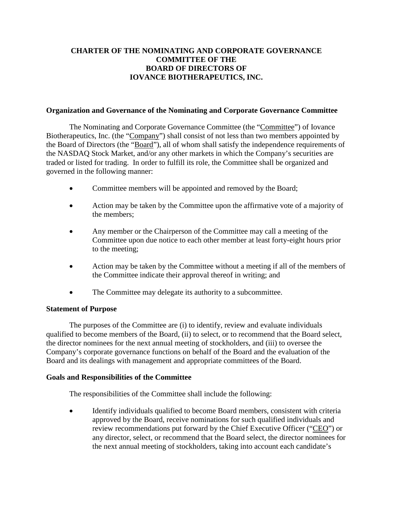# **CHARTER OF THE NOMINATING AND CORPORATE GOVERNANCE COMMITTEE OF THE BOARD OF DIRECTORS OF IOVANCE BIOTHERAPEUTICS, INC.**

#### **Organization and Governance of the Nominating and Corporate Governance Committee**

The Nominating and Corporate Governance Committee (the "Committee") of Iovance Biotherapeutics, Inc. (the "Company") shall consist of not less than two members appointed by the Board of Directors (the "Board"), all of whom shall satisfy the independence requirements of the NASDAQ Stock Market, and/or any other markets in which the Company's securities are traded or listed for trading. In order to fulfill its role, the Committee shall be organized and governed in the following manner:

- Committee members will be appointed and removed by the Board;
- Action may be taken by the Committee upon the affirmative vote of a majority of the members;
- Any member or the Chairperson of the Committee may call a meeting of the Committee upon due notice to each other member at least forty-eight hours prior to the meeting;
- Action may be taken by the Committee without a meeting if all of the members of the Committee indicate their approval thereof in writing; and
- The Committee may delegate its authority to a subcommittee.

### **Statement of Purpose**

The purposes of the Committee are (i) to identify, review and evaluate individuals qualified to become members of the Board, (ii) to select, or to recommend that the Board select, the director nominees for the next annual meeting of stockholders, and (iii) to oversee the Company's corporate governance functions on behalf of the Board and the evaluation of the Board and its dealings with management and appropriate committees of the Board.

### **Goals and Responsibilities of the Committee**

The responsibilities of the Committee shall include the following:

• Identify individuals qualified to become Board members, consistent with criteria approved by the Board, receive nominations for such qualified individuals and review recommendations put forward by the Chief Executive Officer ("CEO") or any director, select, or recommend that the Board select, the director nominees for the next annual meeting of stockholders, taking into account each candidate's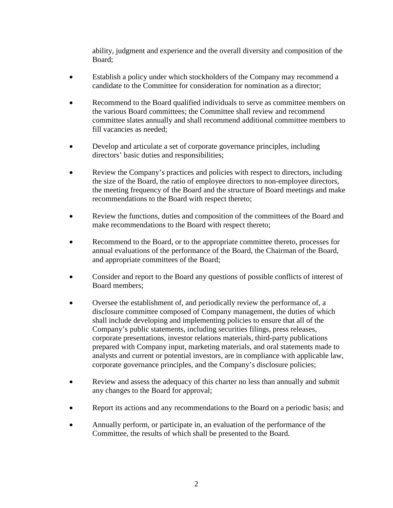ability, judgment and experience and the overall diversity and composition of the Board;

- Establish a policy under which stockholders of the Company may recommend a candidate to the Committee for consideration for nomination as a director;
- Recommend to the Board qualified individuals to serve as committee members on the various Board committees; the Committee shall review and recommend committee slates annually and shall recommend additional committee members to fill vacancies as needed;
- Develop and articulate a set of corporate governance principles, including directors' basic duties and responsibilities;
- Review the Company's practices and policies with respect to directors, including the size of the Board, the ratio of employee directors to non-employee directors, the meeting frequency of the Board and the structure of Board meetings and make recommendations to the Board with respect thereto;
- Review the functions, duties and composition of the committees of the Board and make recommendations to the Board with respect thereto;
- Recommend to the Board, or to the appropriate committee thereto, processes for annual evaluations of the performance of the Board, the Chairman of the Board, and appropriate committees of the Board;
- Consider and report to the Board any questions of possible conflicts of interest of Board members;
- Oversee the establishment of, and periodically review the performance of, a disclosure committee composed of Company management, the duties of which shall include developing and implementing policies to ensure that all of the Company's public statements, including securities filings, press releases, corporate presentations, investor relations materials, third-party publications prepared with Company input, marketing materials, and oral statements made to analysts and current or potential investors, are in compliance with applicable law, corporate governance principles, and the Company's disclosure policies;
- Review and assess the adequacy of this charter no less than annually and submit any changes to the Board for approval;
- Report its actions and any recommendations to the Board on a periodic basis; and
- Annually perform, or participate in, an evaluation of the performance of the Committee, the results of which shall be presented to the Board.